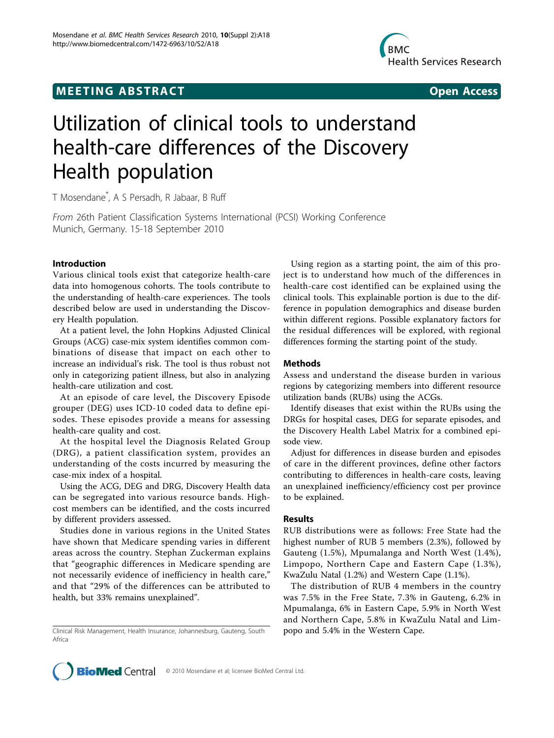# **MEETING ABSTRACT CONSUMING ABSTRACT**



# Utilization of clinical tools to understand health-care differences of the Discovery Health population

T Mosendane\* , A S Persadh, R Jabaar, B Ruff

From 26th Patient Classification Systems International (PCSI) Working Conference Munich, Germany. 15-18 September 2010

## Introduction

Various clinical tools exist that categorize health-care data into homogenous cohorts. The tools contribute to the understanding of health-care experiences. The tools described below are used in understanding the Discovery Health population.

At a patient level, the John Hopkins Adjusted Clinical Groups (ACG) case-mix system identifies common combinations of disease that impact on each other to increase an individual's risk. The tool is thus robust not only in categorizing patient illness, but also in analyzing health-care utilization and cost.

At an episode of care level, the Discovery Episode grouper (DEG) uses ICD-10 coded data to define episodes. These episodes provide a means for assessing health-care quality and cost.

At the hospital level the Diagnosis Related Group (DRG), a patient classification system, provides an understanding of the costs incurred by measuring the case-mix index of a hospital.

Using the ACG, DEG and DRG, Discovery Health data can be segregated into various resource bands. Highcost members can be identified, and the costs incurred by different providers assessed.

Studies done in various regions in the United States have shown that Medicare spending varies in different areas across the country. Stephan Zuckerman explains that "geographic differences in Medicare spending are not necessarily evidence of inefficiency in health care," and that "29% of the differences can be attributed to health, but 33% remains unexplained".

Clinical Risk Management, Health Insurance, Johannesburg, Gauteng, South popo and 5.4% in the Western Cape. Africa

Using region as a starting point, the aim of this project is to understand how much of the differences in health-care cost identified can be explained using the clinical tools. This explainable portion is due to the difference in population demographics and disease burden within different regions. Possible explanatory factors for the residual differences will be explored, with regional differences forming the starting point of the study.

## Methods

Assess and understand the disease burden in various regions by categorizing members into different resource utilization bands (RUBs) using the ACGs.

Identify diseases that exist within the RUBs using the DRGs for hospital cases, DEG for separate episodes, and the Discovery Health Label Matrix for a combined episode view.

Adjust for differences in disease burden and episodes of care in the different provinces, define other factors contributing to differences in health-care costs, leaving an unexplained inefficiency/efficiency cost per province to be explained.

## Results

RUB distributions were as follows: Free State had the highest number of RUB 5 members (2.3%), followed by Gauteng (1.5%), Mpumalanga and North West (1.4%), Limpopo, Northern Cape and Eastern Cape (1.3%), KwaZulu Natal (1.2%) and Western Cape (1.1%).

The distribution of RUB 4 members in the country was 7.5% in the Free State, 7.3% in Gauteng, 6.2% in Mpumalanga, 6% in Eastern Cape, 5.9% in North West and Northern Cape, 5.8% in KwaZulu Natal and Lim-